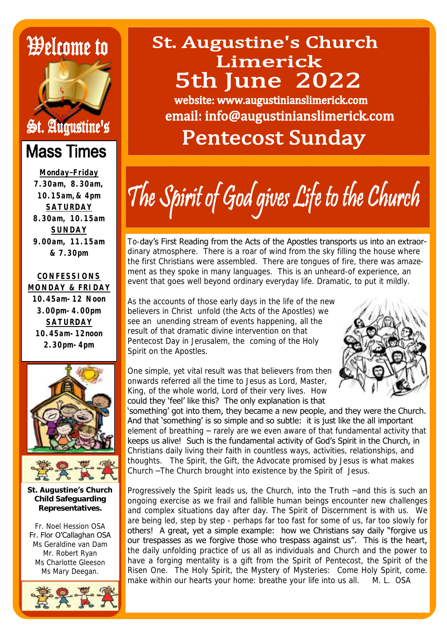# *Welcome to*



### **Mass Times**

**Monday–Friday 7.30am, 8.30am, 10.15am,& 4pm SATURDAY 8.30am, 10.15am SUNDAY 9.00am, 11.15am & 7.30pm**

#### **CONFESSIONS MONDAY & FRIDAY**

**10.45am-12 Noon 3.00pm-4.00pm SATURDAY 10.45am-12noon 2.30pm-4pm**





**St. Augustine's Church Child Safeguarding Representatives.**

Fr. Noel Hession OSA Fr. Flor O"Callaghan OSA Ms Geraldine van Dam Mr. Robert Ryan Ms Charlotte Gleeson Ms Mary Deegan.



### **St. Augustine's Church** Limerick **5th June 2022**

website: www.augustinianslimerick.com email: info@augustinianslimerick.com

## **Pentecost Sunday**

The Spirit of God gives Life to the Church

To-day"s First Reading from the Acts of the Apostles transports us into an extraordinary atmosphere. There is a roar of wind from the sky filling the house where the first Christians were assembled. There are tongues of fire, there was amazement as they spoke in many languages. This is an unheard-of experience, an event that goes well beyond ordinary everyday life. Dramatic, to put it mildly.

As the accounts of those early days in the life of the new believers in Christ unfold (the Acts of the Apostles) we see an unending stream of events happening, all the result of that dramatic divine intervention on that Pentecost Day in Jerusalem, the coming of the Holy Spirit on the Apostles.



One simple, yet vital result was that believers from then onwards referred all the time to Jesus as Lord, Master, King, of the whole world, Lord of their very lives. How could they "feel" like this? The only explanation is that

"something" got into them, they became a new people, and they were the Church. And that 'something' is so simple and so subtle: it is just like the all important element of breathing – rarely are we even aware of that fundamental activity that keeps us alive! Such is the fundamental activity of God"s Spirit in the Church, in Christians daily living their faith in countless ways, activities, relationships, and thoughts. The Spirit, the Gift, the Advocate promised by Jesus is what makes Church –The Church brought into existence by the Spirit of Jesus.

Progressively the Spirit leads us, the Church, into the Truth –and this is such an ongoing exercise as we frail and fallible human beings encounter new challenges and complex situations day after day. The Spirit of Discernment is with us. We are being led, step by step - perhaps far too fast for some of us, far too slowly for others! A great, yet a simple example: how we Christians say daily "forgive us our trespasses as we forgive those who trespass against us". This is the heart, the daily unfolding practice of us all as individuals and Church and the power to have a forging mentality is a gift from the Spirit of Pentecost, the Spirit of the Risen One. The Holy Spirit, the Mystery of Mysteries: Come Holy Spirit, come. make within our hearts your home: breathe your life into us all. M. L. OSA